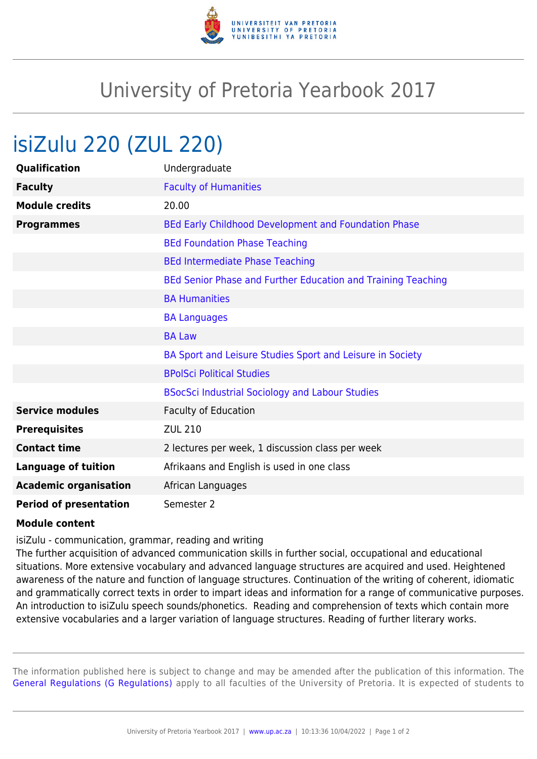

## University of Pretoria Yearbook 2017

## isiZulu 220 (ZUL 220)

| Qualification                 | Undergraduate                                                |
|-------------------------------|--------------------------------------------------------------|
| <b>Faculty</b>                | <b>Faculty of Humanities</b>                                 |
| <b>Module credits</b>         | 20.00                                                        |
| <b>Programmes</b>             | BEd Early Childhood Development and Foundation Phase         |
|                               | <b>BEd Foundation Phase Teaching</b>                         |
|                               | <b>BEd Intermediate Phase Teaching</b>                       |
|                               | BEd Senior Phase and Further Education and Training Teaching |
|                               | <b>BA Humanities</b>                                         |
|                               | <b>BA Languages</b>                                          |
|                               | <b>BA Law</b>                                                |
|                               | BA Sport and Leisure Studies Sport and Leisure in Society    |
|                               | <b>BPolSci Political Studies</b>                             |
|                               | <b>BSocSci Industrial Sociology and Labour Studies</b>       |
| <b>Service modules</b>        | <b>Faculty of Education</b>                                  |
| <b>Prerequisites</b>          | <b>ZUL 210</b>                                               |
| <b>Contact time</b>           | 2 lectures per week, 1 discussion class per week             |
| <b>Language of tuition</b>    | Afrikaans and English is used in one class                   |
| <b>Academic organisation</b>  | African Languages                                            |
| <b>Period of presentation</b> | Semester 2                                                   |

## **Module content**

isiZulu - communication, grammar, reading and writing

The further acquisition of advanced communication skills in further social, occupational and educational situations. More extensive vocabulary and advanced language structures are acquired and used. Heightened awareness of the nature and function of language structures. Continuation of the writing of coherent, idiomatic and grammatically correct texts in order to impart ideas and information for a range of communicative purposes. An introduction to isiZulu speech sounds/phonetics. Reading and comprehension of texts which contain more extensive vocabularies and a larger variation of language structures. Reading of further literary works.

The information published here is subject to change and may be amended after the publication of this information. The [General Regulations \(G Regulations\)](https://www.up.ac.za/yearbooks/2017/rules/view/REG) apply to all faculties of the University of Pretoria. It is expected of students to